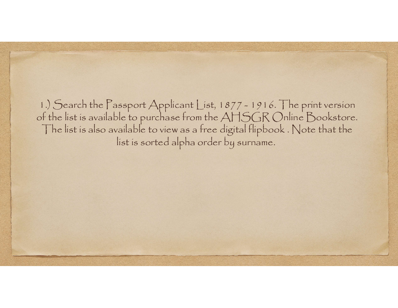1.) Search the Passport Applicant List, 1877 - 1916. The print version of the list is available to purchase from the AHSGR Online Bookstore. The list is also available to view as a free digital flipbook . Note that the list is sorted alpha order by surname.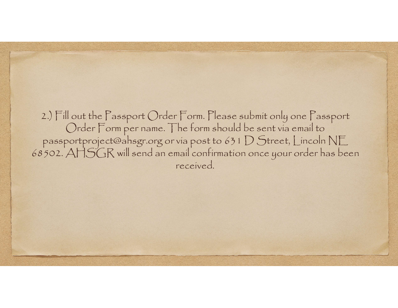2.) Fill out the Passport Order Form. Please submit only one Passport<br>Order Form per name. The form should be sent via email to<br>passportproject@ahsgr.org or via post to 631 D Street, Lincoln NE<br>68502. AHSGR will send an em received.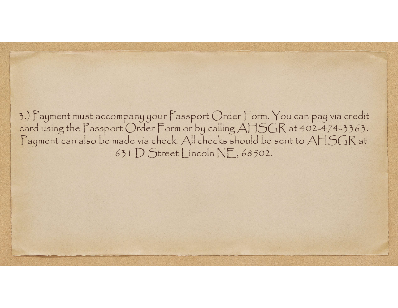3.) Payment must accompany your Passport Order Form. You can pay via credit card using the Passport Order Form or by calling AHSGR at 402-474-3363. Payment can also be made via check. All checks should be sent to AHSGR at 631 D Street Lincoln NE, 68502.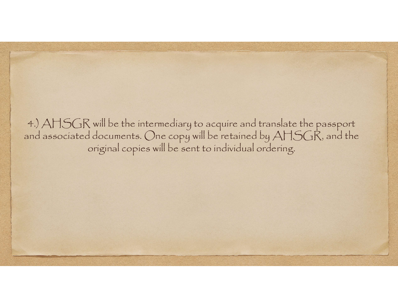4.) AHSGR will be the intermediary to acquire and translate the passport and associated documents. One copy will be retained by AHSGR, and the original copies will be sent to individual ordering.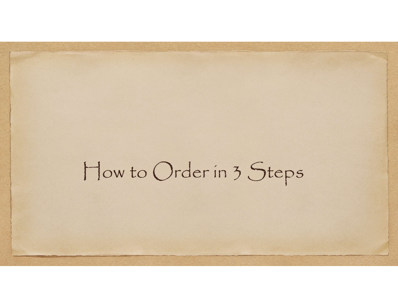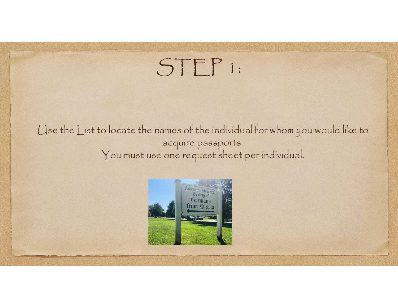## STEP 1:

Use the List to locate the names of the individual for whom you would like to acquire passports. You must use one request sheet per individual.

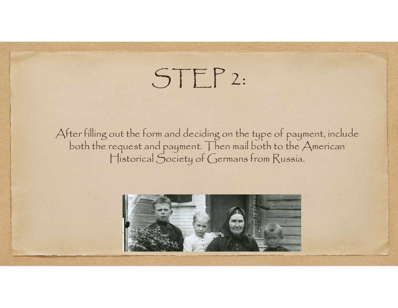## STEP 2:

After filling out the form and deciding on the type of payment, include both the request and payment. Then mail both to the American Historical Society of Germans from Russia.